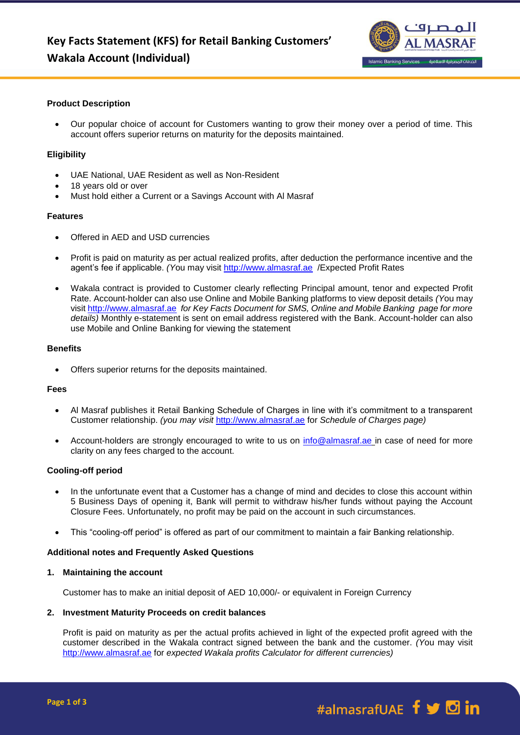

# **Product Description**

 Our popular choice of account for Customers wanting to grow their money over a period of time. This account offers superior returns on maturity for the deposits maintained.

### **Eligibility**

- UAE National, UAE Resident as well as Non-Resident
- 18 years old or over
- Must hold either a Current or a Savings Account with Al Masraf

### **Features**

- Offered in AED and USD currencies
- Profit is paid on maturity as per actual realized profits, after deduction the performance incentive and the agent's fee if applicable. *(Y*ou may visit [http://www.almasraf.ae](http://www.almasraf.ae/) /Expected Profit Rates
- Wakala contract is provided to Customer clearly reflecting Principal amount, tenor and expected Profit Rate. Account-holder can also use Online and Mobile Banking platforms to view deposit details *(Y*ou may visi[t http://www.almasraf.ae](http://www.almasraf.ae/) *for Key Facts Document for SMS, Online and Mobile Banking page for more details)* Monthly e-statement is sent on email address registered with the Bank. Account-holder can also use Mobile and Online Banking for viewing the statement

# **Benefits**

Offers superior returns for the deposits maintained.

# **Fees**

- Al Masraf publishes it Retail Banking Schedule of Charges in line with it's commitment to a transparent Customer relationship. *(you may visit* [http://www.almasraf.ae](http://www.almasraf.ae/) for *Schedule of Charges page)*
- Account-holders are strongly encouraged to write to us on [info@almasraf.ae](mailto:info@almasraf.ae) in case of need for more clarity on any fees charged to the account.

### **Cooling-off period**

- In the unfortunate event that a Customer has a change of mind and decides to close this account within 5 Business Days of opening it, Bank will permit to withdraw his/her funds without paying the Account Closure Fees. Unfortunately, no profit may be paid on the account in such circumstances.
- This "cooling-off period" is offered as part of our commitment to maintain a fair Banking relationship.

#### **Additional notes and Frequently Asked Questions**

### **1. Maintaining the account**

Customer has to make an initial deposit of AED 10,000/- or equivalent in Foreign Currency

### **2. Investment Maturity Proceeds on credit balances**

Profit is paid on maturity as per the actual profits achieved in light of the expected profit agreed with the customer described in the Wakala contract signed between the bank and the customer. *(Y*ou may visit [http://www.almasraf.ae](http://www.almasraf.ae/) for *expected Wakala profits Calculator for different currencies)*

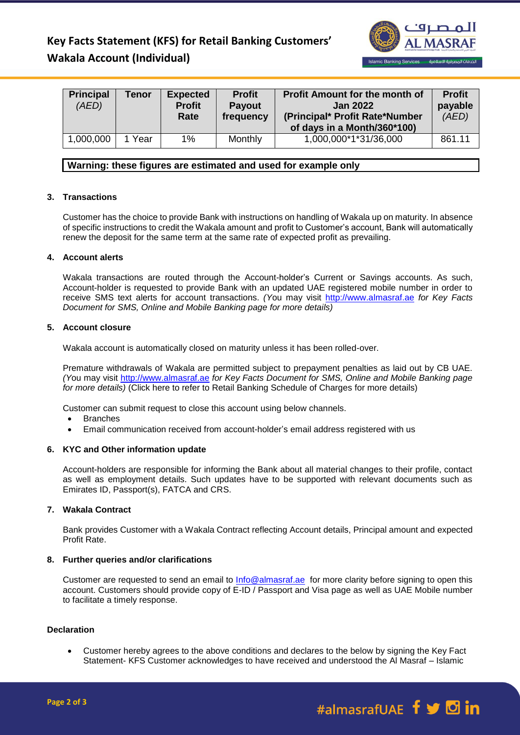# **Key Facts Statement (KFS) for Retail Banking Customers' Wakala Account (Individual)**



| <b>Principal</b><br>(AED) | <b>Tenor</b> | <b>Expected</b><br><b>Profit</b><br>Rate | <b>Profit</b><br><b>Payout</b><br>frequency | <b>Profit Amount for the month of</b><br><b>Jan 2022</b><br>(Principal* Profit Rate*Number<br>of days in a Month/360*100) | <b>Profit</b><br>payable<br>(AED) |
|---------------------------|--------------|------------------------------------------|---------------------------------------------|---------------------------------------------------------------------------------------------------------------------------|-----------------------------------|
| 1,000,000                 | Year         | 1%                                       | Monthly                                     | 1,000,000*1*31/36,000                                                                                                     | 861.11                            |

# **Warning: these figures are estimated and used for example only**

# **3. Transactions**

Customer has the choice to provide Bank with instructions on handling of Wakala up on maturity. In absence of specific instructions to credit the Wakala amount and profit to Customer's account, Bank will automatically renew the deposit for the same term at the same rate of expected profit as prevailing.

# **4. Account alerts**

Wakala transactions are routed through the Account-holder's Current or Savings accounts. As such, Account-holder is requested to provide Bank with an updated UAE registered mobile number in order to receive SMS text alerts for account transactions. *(Y*ou may visit [http://www.almasraf.ae](http://www.almasraf.ae/) *for Key Facts Document for SMS, Online and Mobile Banking page for more details)*

# **5. Account closure**

Wakala account is automatically closed on maturity unless it has been rolled-over.

Premature withdrawals of Wakala are permitted subject to prepayment penalties as laid out by CB UAE. *(Y*ou may visit [http://www.almasraf.ae](http://www.almasraf.ae/) *for Key Facts Document for SMS, Online and Mobile Banking page for more details)* (Click here to refer to Retail Banking Schedule of Charges for more details)

Customer can submit request to close this account using below channels.

- Branches
- Email communication received from account-holder's email address registered with us

# **6. KYC and Other information update**

Account-holders are responsible for informing the Bank about all material changes to their profile, contact as well as employment details. Such updates have to be supported with relevant documents such as Emirates ID, Passport(s), FATCA and CRS.

### **7. Wakala Contract**

Bank provides Customer with a Wakala Contract reflecting Account details, Principal amount and expected Profit Rate.

### **8. Further queries and/or clarifications**

Customer are requested to send an email to [Info@almasraf.ae](mailto:Info@almasraf.ae) for more clarity before signing to open this account. Customers should provide copy of E-ID / Passport and Visa page as well as UAE Mobile number to facilitate a timely response.

### **Declaration**

 Customer hereby agrees to the above conditions and declares to the below by signing the Key Fact Statement- KFS Customer acknowledges to have received and understood the Al Masraf – Islamic